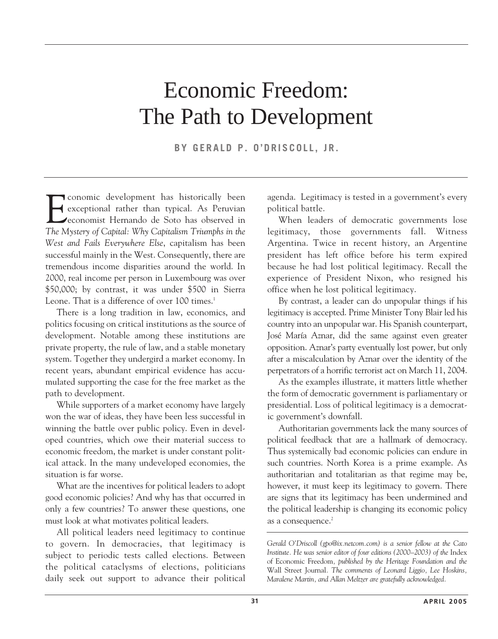# Economic Freedom: The Path to Development

**BY GERALD P. O'DRISCOLL, JR.**

**FR** conomic development has historically been<br>exceptional rather than typical. As Peruvian<br>economist Hernando de Soto has observed in<br>The Mystery of Capital: Why Capitalism Triumphs in the **T** conomic development has historically been exceptional rather than typical. As Peruvian economist Hernando de Soto has observed in *West and Fails Everywhere Else*, capitalism has been successful mainly in the West. Consequently, there are tremendous income disparities around the world. In 2000, real income per person in Luxembourg was over \$50,000; by contrast, it was under \$500 in Sierra Leone. That is a difference of over 100 times.<sup>1</sup>

There is a long tradition in law, economics, and politics focusing on critical institutions as the source of development. Notable among these institutions are private property, the rule of law, and a stable monetary system. Together they undergird a market economy. In recent years, abundant empirical evidence has accumulated supporting the case for the free market as the path to development.

While supporters of a market economy have largely won the war of ideas, they have been less successful in winning the battle over public policy. Even in developed countries, which owe their material success to economic freedom, the market is under constant political attack. In the many undeveloped economies, the situation is far worse.

What are the incentives for political leaders to adopt good economic policies? And why has that occurred in only a few countries? To answer these questions, one must look at what motivates political leaders.

All political leaders need legitimacy to continue to govern. In democracies, that legitimacy is subject to periodic tests called elections. Between the political cataclysms of elections, politicians daily seek out support to advance their political agenda. Legitimacy is tested in a government's every political battle.

When leaders of democratic governments lose legitimacy, those governments fall. Witness Argentina. Twice in recent history, an Argentine president has left office before his term expired because he had lost political legitimacy. Recall the experience of President Nixon, who resigned his office when he lost political legitimacy.

By contrast, a leader can do unpopular things if his legitimacy is accepted. Prime Minister Tony Blair led his country into an unpopular war. His Spanish counterpart, José María Aznar, did the same against even greater opposition. Aznar's party eventually lost power, but only after a miscalculation by Aznar over the identity of the perpetrators of a horrific terrorist act on March 11, 2004.

As the examples illustrate, it matters little whether the form of democratic government is parliamentary or presidential. Loss of political legitimacy is a democratic government's downfall.

Authoritarian governments lack the many sources of political feedback that are a hallmark of democracy. Thus systemically bad economic policies can endure in such countries. North Korea is a prime example. As authoritarian and totalitarian as that regime may be, however, it must keep its legitimacy to govern. There are signs that its legitimacy has been undermined and the political leadership is changing its economic policy as a consequence.<sup>2</sup>

*Gerald O'Driscoll (gpo@ix.netcom.com) is a senior fellow at the Cato* Institute. He was senior editor of four editions (2000–2003) of the Index of Economic Freedom*, published by the Heritage Foundation and the* Wall Street Journal*. The comments of Leonard Liggio, Lee Hoskins, Maralene Martin, and Allan Meltzer are gratefully acknowledged.*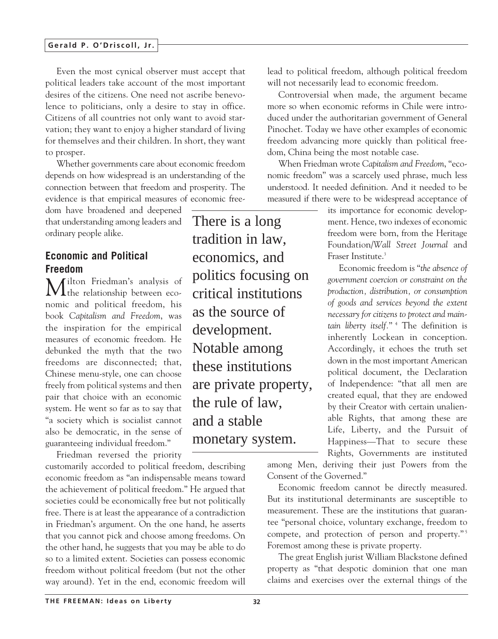Even the most cynical observer must accept that political leaders take account of the most important desires of the citizens. One need not ascribe benevolence to politicians, only a desire to stay in office. Citizens of all countries not only want to avoid starvation; they want to enjoy a higher standard of living for themselves and their children. In short, they want to prosper.

Whether governments care about economic freedom depends on how widespread is an understanding of the connection between that freedom and prosperity. The evidence is that empirical measures of economic free-

dom have broadened and deepened that understanding among leaders and ordinary people alike.

## **Economic and Political Freedom**

Milton Friedman's analysis of the relationship between economic and political freedom, his book *Capitalism and Freedom*, was the inspiration for the empirical measures of economic freedom. He debunked the myth that the two freedoms are disconnected; that, Chinese menu-style, one can choose freely from political systems and then pair that choice with an economic system. He went so far as to say that "a society which is socialist cannot also be democratic, in the sense of guaranteeing individual freedom."

Friedman reversed the priority

customarily accorded to political freedom, describing economic freedom as "an indispensable means toward the achievement of political freedom." He argued that societies could be economically free but not politically free. There is at least the appearance of a contradiction in Friedman's argument. On the one hand, he asserts that you cannot pick and choose among freedoms. On the other hand, he suggests that you may be able to do so to a limited extent. Societies can possess economic freedom without political freedom (but not the other way around). Yet in the end, economic freedom will

There is a long tradition in law, economics, and politics focusing on critical institutions as the source of development. Notable among these institutions are private property, the rule of law, and a stable monetary system.

lead to political freedom, although political freedom will not necessarily lead to economic freedom.

Controversial when made, the argument became more so when economic reforms in Chile were introduced under the authoritarian government of General Pinochet. Today we have other examples of economic freedom advancing more quickly than political freedom, China being the most notable case.

When Friedman wrote *Capitalism and Freedom*, "economic freedom" was a scarcely used phrase, much less understood. It needed definition. And it needed to be measured if there were to be widespread acceptance of

> its importance for economic development. Hence, two indexes of economic freedom were born, from the Heritage Foundation/*Wall Street Journal* and Fraser Institute.<sup>3</sup>

> Economic freedom is "*the absence of government coercion or constraint on the production, distribution, or consumption of goods and services beyond the extent necessary for citizens to protect and maintain liberty itself.*" <sup>4</sup> The definition is inherently Lockean in conception. Accordingly, it echoes the truth set down in the most important American political document, the Declaration of Independence: "that all men are created equal, that they are endowed by their Creator with certain unalienable Rights, that among these are Life, Liberty, and the Pursuit of Happiness—That to secure these Rights, Governments are instituted

among Men, deriving their just Powers from the Consent of the Governed."

Economic freedom cannot be directly measured. But its institutional determinants are susceptible to measurement. These are the institutions that guarantee "personal choice, voluntary exchange, freedom to compete, and protection of person and property."<sup>5</sup> Foremost among these is private property.

The great English jurist William Blackstone defined property as "that despotic dominion that one man claims and exercises over the external things of the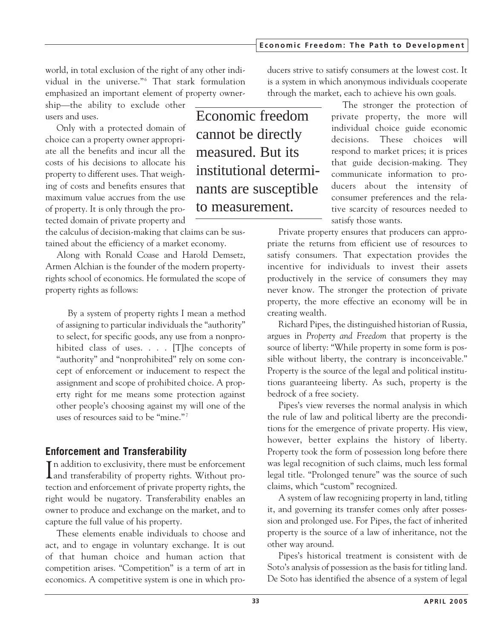world, in total exclusion of the right of any other individual in the universe."<sup>6</sup> That stark formulation emphasized an important element of property owner-

ship—the ability to exclude other users and uses.

Only with a protected domain of choice can a property owner appropriate all the benefits and incur all the costs of his decisions to allocate his property to different uses. That weighing of costs and benefits ensures that maximum value accrues from the use of property. It is only through the protected domain of private property and

the calculus of decision-making that claims can be sustained about the efficiency of a market economy.

Along with Ronald Coase and Harold Demsetz, Armen Alchian is the founder of the modern propertyrights school of economics. He formulated the scope of property rights as follows:

By a system of property rights I mean a method of assigning to particular individuals the "authority" to select, for specific goods, any use from a nonprohibited class of uses. . . . [T]he concepts of "authority" and "nonprohibited" rely on some concept of enforcement or inducement to respect the assignment and scope of prohibited choice. A property right for me means some protection against other people's choosing against my will one of the uses of resources said to be "mine." <sup>7</sup>

# **Enforcement and Transferability**

In addition to exclusivity, there must be enforcement<br>
and transferability of property rights. Without pro-**L**and transferability of property rights. Without protection and enforcement of private property rights, the right would be nugatory. Transferability enables an owner to produce and exchange on the market, and to capture the full value of his property.

These elements enable individuals to choose and act, and to engage in voluntary exchange. It is out of that human choice and human action that competition arises. "Competition" is a term of art in economics. A competitive system is one in which pro-

Economic freedom cannot be directly measured. But its institutional determinants are susceptible to measurement.

ducers strive to satisfy consumers at the lowest cost. It is a system in which anonymous individuals cooperate through the market, each to achieve his own goals.

The stronger the protection of private property, the more will individual choice guide economic decisions. These choices will respond to market prices; it is prices that guide decision-making. They communicate information to producers about the intensity of consumer preferences and the relative scarcity of resources needed to satisfy those wants.

Private property ensures that producers can appropriate the returns from efficient use of resources to satisfy consumers. That expectation provides the incentive for individuals to invest their assets productively in the service of consumers they may never know. The stronger the protection of private property, the more effective an economy will be in creating wealth.

Richard Pipes, the distinguished historian of Russia, argues in *Property and Freedom* that property is the source of liberty: "While property in some form is possible without liberty, the contrary is inconceivable." Property is the source of the legal and political institutions guaranteeing liberty. As such, property is the bedrock of a free society.

Pipes's view reverses the normal analysis in which the rule of law and political liberty are the preconditions for the emergence of private property. His view, however, better explains the history of liberty. Property took the form of possession long before there was legal recognition of such claims, much less formal legal title. "Prolonged tenure" was the source of such claims, which "custom" recognized.

A system of law recognizing property in land, titling it, and governing its transfer comes only after possession and prolonged use. For Pipes, the fact of inherited property is the source of a law of inheritance, not the other way around.

Pipes's historical treatment is consistent with de Soto's analysis of possession as the basis for titling land. De Soto has identified the absence of a system of legal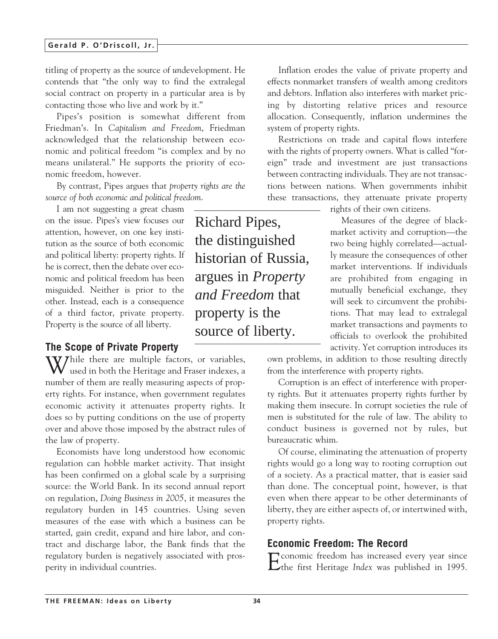#### **Gerald P. O'Driscoll, Jr.**

titling of property as the source of *un*development. He contends that "the only way to find the extralegal social contract on property in a particular area is by contacting those who live and work by it."

Pipes's position is somewhat different from Friedman's. In *Capitalism and Freedom*, Friedman acknowledged that the relationship between economic and political freedom "is complex and by no means unilateral." He supports the priority of economic freedom, however.

By contrast, Pipes argues that *property rights are the source of both economic and political freedom*.

I am not suggesting a great chasm on the issue. Pipes's view focuses our attention, however, on one key institution as the source of both economic and political liberty: property rights. If he is correct, then the debate over economic and political freedom has been misguided. Neither is prior to the other. Instead, each is a consequence of a third factor, private property. Property is the source of all liberty.

#### **The Scope of Private Property**

W/hile there are multiple factors, or variables, used in both the Heritage and Fraser indexes, a number of them are really measuring aspects of property rights. For instance, when government regulates economic activity it attenuates property rights. It does so by putting conditions on the use of property over and above those imposed by the abstract rules of the law of property.

Economists have long understood how economic regulation can hobble market activity. That insight has been confirmed on a global scale by a surprising source: the World Bank. In its second annual report on regulation, *Doing Business in 2005*, it measures the regulatory burden in 145 countries. Using seven measures of the ease with which a business can be started, gain credit, expand and hire labor, and contract and discharge labor, the Bank finds that the regulatory burden is negatively associated with prosperity in individual countries.

Richard Pipes, the distinguished historian of Russia, argues in *Property and Freedom* that property is the source of liberty.

Inflation erodes the value of private property and effects nonmarket transfers of wealth among creditors and debtors. Inflation also interferes with market pricing by distorting relative prices and resource allocation. Consequently, inflation undermines the system of property rights.

Restrictions on trade and capital flows interfere with the rights of property owners. What is called "foreign" trade and investment are just transactions between contracting individuals. They are not transactions between nations. When governments inhibit these transactions, they attenuate private property

rights of their own citizens.

Measures of the degree of blackmarket activity and corruption—the two being highly correlated—actually measure the consequences of other market interventions. If individuals are prohibited from engaging in mutually beneficial exchange, they will seek to circumvent the prohibitions. That may lead to extralegal market transactions and payments to officials to overlook the prohibited activity. Yet corruption introduces its

own problems, in addition to those resulting directly from the interference with property rights.

Corruption is an effect of interference with property rights. But it attenuates property rights further by making them insecure. In corrupt societies the rule of men is substituted for the rule of law. The ability to conduct business is governed not by rules, but bureaucratic whim.

Of course, eliminating the attenuation of property rights would go a long way to rooting corruption out of a society. As a practical matter, that is easier said than done. The conceptual point, however, is that even when there appear to be other determinants of liberty, they are either aspects of, or intertwined with, property rights.

#### **Economic Freedom: The Record**

Economic freedom has increased every year since the first Heritage *Index* was published in 1995.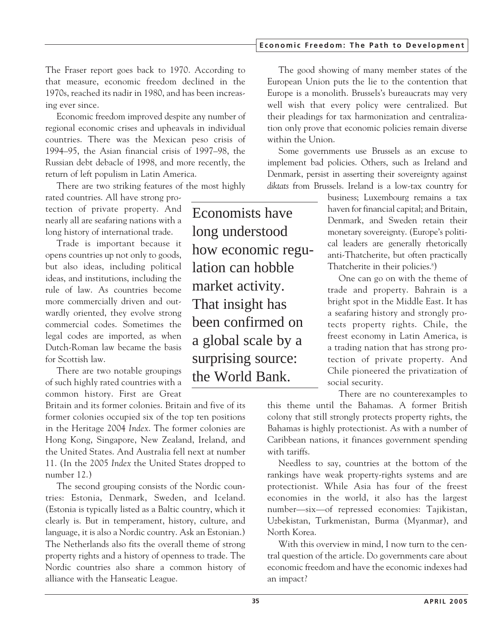#### **Economic Freedom: The Path to Development**

The Fraser report goes back to 1970. According to that measure, economic freedom declined in the 1970s, reached its nadir in 1980, and has been increasing ever since.

Economic freedom improved despite any number of regional economic crises and upheavals in individual countries. There was the Mexican peso crisis of 1994–95, the Asian financial crisis of 1997–98, the Russian debt debacle of 1998, and more recently, the return of left populism in Latin America.

There are two striking features of the most highly

rated countries. All have strong protection of private property. And nearly all are seafaring nations with a long history of international trade.

Trade is important because it opens countries up not only to goods, but also ideas, including political ideas, and institutions, including the rule of law. As countries become more commercially driven and outwardly oriented, they evolve strong commercial codes. Sometimes the legal codes are imported, as when Dutch-Roman law became the basis for Scottish law.

There are two notable groupings of such highly rated countries with a common history. First are Great

Britain and its former colonies. Britain and five of its former colonies occupied six of the top ten positions in the Heritage 2004 *Index*. The former colonies are Hong Kong, Singapore, New Zealand, Ireland, and the United States. And Australia fell next at number 11. (In the 2005 *Index* the United States dropped to number 12.)

The second grouping consists of the Nordic countries: Estonia, Denmark, Sweden, and Iceland. (Estonia is typically listed as a Baltic country, which it clearly is. But in temperament, history, culture, and language, it is also a Nordic country. Ask an Estonian.) The Netherlands also fits the overall theme of strong property rights and a history of openness to trade. The Nordic countries also share a common history of alliance with the Hanseatic League.

Economists have long understood how economic regulation can hobble market activity. That insight has been confirmed on a global scale by a surprising source: the World Bank.

The good showing of many member states of the European Union puts the lie to the contention that Europe is a monolith. Brussels's bureaucrats may very well wish that every policy were centralized. But their pleadings for tax harmonization and centralization only prove that economic policies remain diverse within the Union.

Some governments use Brussels as an excuse to implement bad policies. Others, such as Ireland and Denmark, persist in asserting their sovereignty against *diktats* from Brussels. Ireland is a low-tax country for

business; Luxembourg remains a tax haven for financial capital; and Britain, Denmark, and Sweden retain their monetary sovereignty. (Europe's political leaders are generally rhetorically anti-Thatcherite, but often practically Thatcherite in their policies.<sup>8</sup>)

One can go on with the theme of trade and property. Bahrain is a bright spot in the Middle East. It has a seafaring history and strongly protects property rights. Chile, the freest economy in Latin America, is a trading nation that has strong protection of private property. And Chile pioneered the privatization of social security.

There are no counterexamples to

this theme until the Bahamas. A former British colony that still strongly protects property rights, the Bahamas is highly protectionist. As with a number of Caribbean nations, it finances government spending with tariffs.

Needless to say, countries at the bottom of the rankings have weak property-rights systems and are protectionist. While Asia has four of the freest economies in the world, it also has the largest number—six—of repressed economies: Tajikistan, Uzbekistan, Turkmenistan, Burma (Myanmar), and North Korea.

With this overview in mind, I now turn to the central question of the article. Do governments care about economic freedom and have the economic indexes had an impact?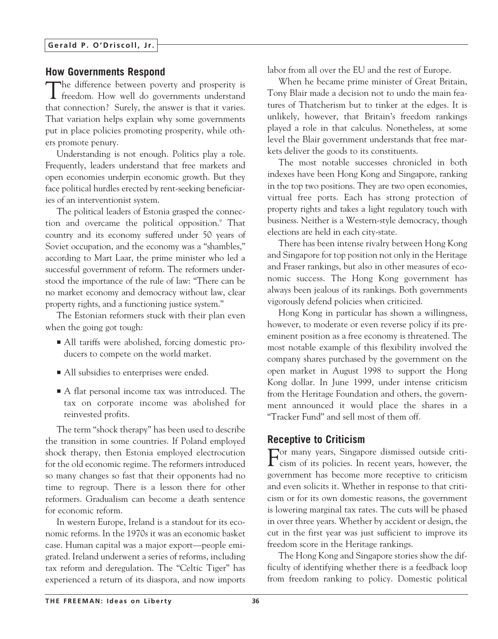#### **How Governments Respond**

The difference between poverty and prosperity is freedom. How well do governments understand that connection? Surely, the answer is that it varies. That variation helps explain why some governments put in place policies promoting prosperity, while others promote penury.

Understanding is not enough. Politics play a role. Frequently, leaders understand that free markets and open economies underpin economic growth. But they face political hurdles erected by rent-seeking beneficiaries of an interventionist system.

The political leaders of Estonia grasped the connection and overcame the political opposition.<sup>9</sup> That country and its economy suffered under 50 years of Soviet occupation, and the economy was a "shambles," according to Mart Laar, the prime minister who led a successful government of reform. The reformers understood the importance of the rule of law: "There can be no market economy and democracy without law, clear property rights, and a functioning justice system."

The Estonian reformers stuck with their plan even when the going got tough:

- All tariffs were abolished, forcing domestic producers to compete on the world market.
- All subsidies to enterprises were ended.
- A flat personal income tax was introduced. The tax on corporate income was abolished for reinvested profits.

The term "shock therapy" has been used to describe the transition in some countries. If Poland employed shock therapy, then Estonia employed electrocution for the old economic regime. The reformers introduced so many changes so fast that their opponents had no time to regroup. There is a lesson there for other reformers. Gradualism can become a death sentence for economic reform.

In western Europe, Ireland is a standout for its economic reforms. In the 1970s it was an economic basket case. Human capital was a major export—people emigrated. Ireland underwent a series of reforms, including tax reform and deregulation. The "Celtic Tiger" has experienced a return of its diaspora, and now imports labor from all over the EU and the rest of Europe.

When he became prime minister of Great Britain, Tony Blair made a decision not to undo the main features of Thatcherism but to tinker at the edges. It is unlikely, however, that Britain's freedom rankings played a role in that calculus. Nonetheless, at some level the Blair government understands that free markets deliver the goods to its constituents.

The most notable successes chronicled in both indexes have been Hong Kong and Singapore, ranking in the top two positions. They are two open economies, virtual free ports. Each has strong protection of property rights and takes a light regulatory touch with business. Neither is a Western-style democracy, though elections are held in each city-state.

There has been intense rivalry between Hong Kong and Singapore for top position not only in the Heritage and Fraser rankings, but also in other measures of economic success. The Hong Kong government has always been jealous of its rankings. Both governments vigorously defend policies when criticized.

Hong Kong in particular has shown a willingness, however, to moderate or even reverse policy if its preeminent position as a free economy is threatened. The most notable example of this flexibility involved the company shares purchased by the government on the open market in August 1998 to support the Hong Kong dollar. In June 1999, under intense criticism from the Heritage Foundation and others, the government announced it would place the shares in a "Tracker Fund" and sell most of them off.

#### **Receptive to Criticism**

For many years, Singapore dismissed outside criti-cism of its policies. In recent years, however, the government has become more receptive to criticism and even solicits it. Whether in response to that criticism or for its own domestic reasons, the government is lowering marginal tax rates. The cuts will be phased in over three years. Whether by accident or design, the cut in the first year was just sufficient to improve its freedom score in the Heritage rankings.

The Hong Kong and Singapore stories show the difficulty of identifying whether there is a feedback loop from freedom ranking to policy. Domestic political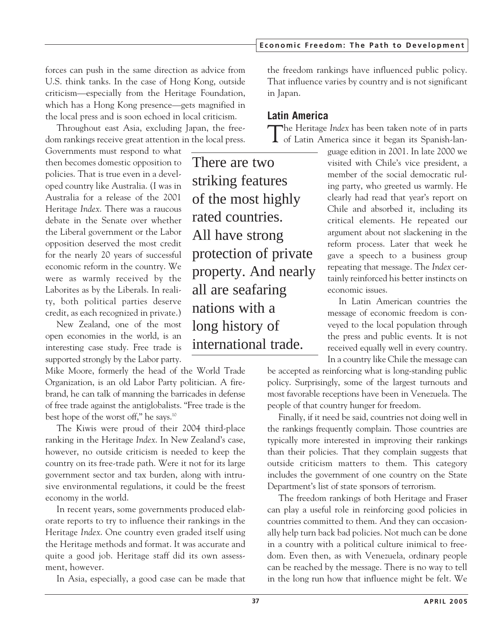**Economic Freedom: The Path to Development**

forces can push in the same direction as advice from U.S. think tanks. In the case of Hong Kong, outside criticism—especially from the Heritage Foundation, which has a Hong Kong presence—gets magnified in the local press and is soon echoed in local criticism.

Throughout east Asia, excluding Japan, the freedom rankings receive great attention in the local press.

Governments must respond to what then becomes domestic opposition to policies. That is true even in a developed country like Australia. (I was in Australia for a release of the 2001 Heritage *Index*. There was a raucous debate in the Senate over whether the Liberal government or the Labor opposition deserved the most credit for the nearly 20 years of successful economic reform in the country. We were as warmly received by the Laborites as by the Liberals. In reality, both political parties deserve credit, as each recognized in private.)

New Zealand, one of the most open economies in the world, is an interesting case study. Free trade is supported strongly by the Labor party.

Mike Moore, formerly the head of the World Trade Organization, is an old Labor Party politician. A firebrand, he can talk of manning the barricades in defense of free trade against the antiglobalists. "Free trade is the best hope of the worst off," he says.10

The Kiwis were proud of their 2004 third-place ranking in the Heritage *Index*. In New Zealand's case, however, no outside criticism is needed to keep the country on its free-trade path. Were it not for its large government sector and tax burden, along with intrusive environmental regulations, it could be the freest economy in the world.

In recent years, some governments produced elaborate reports to try to influence their rankings in the Heritage *Index*. One country even graded itself using the Heritage methods and format. It was accurate and quite a good job. Heritage staff did its own assessment, however.

In Asia, especially, a good case can be made that

the freedom rankings have influenced public policy. That influence varies by country and is not significant in Japan.

## **Latin America**

The Heritage *Index* has been taken note of in parts of Latin America since it began its Spanish-lan-

guage edition in 2001. In late 2000 we visited with Chile's vice president, a member of the social democratic ruling party, who greeted us warmly. He clearly had read that year's report on Chile and absorbed it, including its critical elements. He repeated our argument about not slackening in the reform process. Later that week he gave a speech to a business group repeating that message. The *Index* certainly reinforced his better instincts on economic issues.

In Latin American countries the message of economic freedom is conveyed to the local population through the press and public events. It is not received equally well in every country. In a country like Chile the message can

be accepted as reinforcing what is long-standing public policy. Surprisingly, some of the largest turnouts and most favorable receptions have been in Venezuela. The people of that country hunger for freedom.

Finally, if it need be said, countries not doing well in the rankings frequently complain. Those countries are typically more interested in improving their rankings than their policies. That they complain suggests that outside criticism matters to them. This category includes the government of one country on the State Department's list of state sponsors of terrorism.

The freedom rankings of both Heritage and Fraser can play a useful role in reinforcing good policies in countries committed to them. And they can occasionally help turn back bad policies. Not much can be done in a country with a political culture inimical to freedom. Even then, as with Venezuela, ordinary people can be reached by the message. There is no way to tell in the long run how that influence might be felt. We

There are two striking features of the most highly rated countries. All have strong protection of private property. And nearly all are seafaring nations with a long history of international trade.